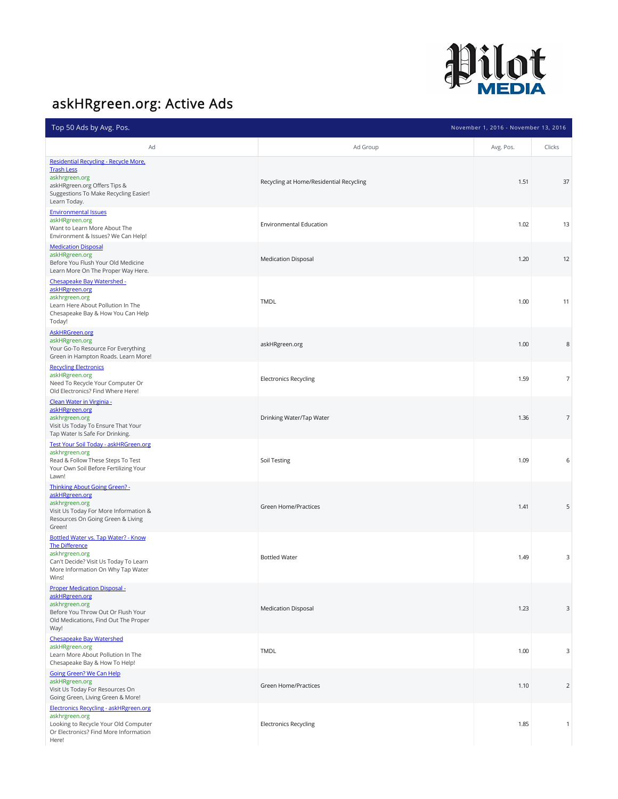

## askHRgreen.org: Active Ads

| Top 50 Ads by Avg. Pos.                                                                                                                                               | November 1, 2016 - November 13, 2016    |           |                |
|-----------------------------------------------------------------------------------------------------------------------------------------------------------------------|-----------------------------------------|-----------|----------------|
| Ad                                                                                                                                                                    | Ad Group                                | Avg. Pos. | Clicks         |
| Residential Recycling - Recycle More,<br><b>Trash Less</b><br>askhrgreen.org<br>askHRgreen.org Offers Tips &<br>Suggestions To Make Recycling Easier!<br>Learn Today. | Recycling at Home/Residential Recycling | 1.51      | 37             |
| <b>Environmental Issues</b><br>askHRgreen.org<br>Want to Learn More About The<br>Environment & Issues? We Can Help!                                                   | Environmental Education                 | 1.02      | 13             |
| <b>Medication Disposal</b><br>askHRgreen.org<br>Before You Flush Your Old Medicine<br>Learn More On The Proper Way Here.                                              | <b>Medication Disposal</b>              | 1.20      | 12             |
| Chesapeake Bay Watershed -<br>askHRgreen.org<br>askhrgreen.org<br>Learn Here About Pollution In The<br>Chesapeake Bay & How You Can Help<br>Today!                    | <b>TMDL</b>                             | 1.00      | 11             |
| AskHRGreen.org<br>askHRgreen.org<br>Your Go-To Resource For Everything<br>Green in Hampton Roads. Learn More!                                                         | askHRgreen.org                          | 1.00      | $\,$ 8 $\,$    |
| <b>Recycling Electronics</b><br>askHRgreen.org<br>Need To Recycle Your Computer Or<br>Old Electronics? Find Where Here!                                               | <b>Electronics Recycling</b>            | 1.59      | $\overline{7}$ |
| Clean Water in Virginia -<br>askHRgreen.org<br>askhrgreen.org<br>Visit Us Today To Ensure That Your<br>Tap Water Is Safe For Drinking.                                | Drinking Water/Tap Water                | 1.36      | $\overline{7}$ |
| Test Your Soil Today - askHRGreen.org<br>askhrgreen.org<br>Read & Follow These Steps To Test<br>Your Own Soil Before Fertilizing Your<br>Lawn!                        | Soil Testing                            | 1.09      | 6              |
| <b>Thinking About Going Green? -</b><br>askHRgreen.org<br>askhrgreen.org<br>Visit Us Today For More Information &<br>Resources On Going Green & Living<br>Green!      | Green Home/Practices                    | 1.41      | 5              |
| Bottled Water vs. Tap Water? - Know<br><b>The Difference</b><br>askhrgreen.org<br>Can't Decide? Visit Us Today To Learn<br>More Information On Why Tap Water<br>Wins! | <b>Bottled Water</b>                    | 1.49      | 3              |
| Proper Medication Disposal -<br>askHRgreen.org<br>askhrgreen.org<br>Before You Throw Out Or Flush Your<br>Old Medications, Find Out The Proper<br>Way!                | <b>Medication Disposal</b>              | 1.23      | 3              |
| <b>Chesapeake Bay Watershed</b><br>askHRgreen.org<br>Learn More About Pollution In The<br>Chesapeake Bay & How To Help!                                               | <b>TMDL</b>                             | 1.00      | 3              |
| <b>Going Green? We Can Help</b><br>askHRgreen.org<br>Visit Us Today For Resources On<br>Going Green, Living Green & More!                                             | Green Home/Practices                    | 1.10      | $\sqrt{2}$     |
| <b>Electronics Recycling - askHRgreen.org</b><br>askhrgreen.org<br>Looking to Recycle Your Old Computer<br>Or Electronics? Find More Information<br>Here!             | <b>Electronics Recycling</b>            | 1.85      | $\mathbf{1}$   |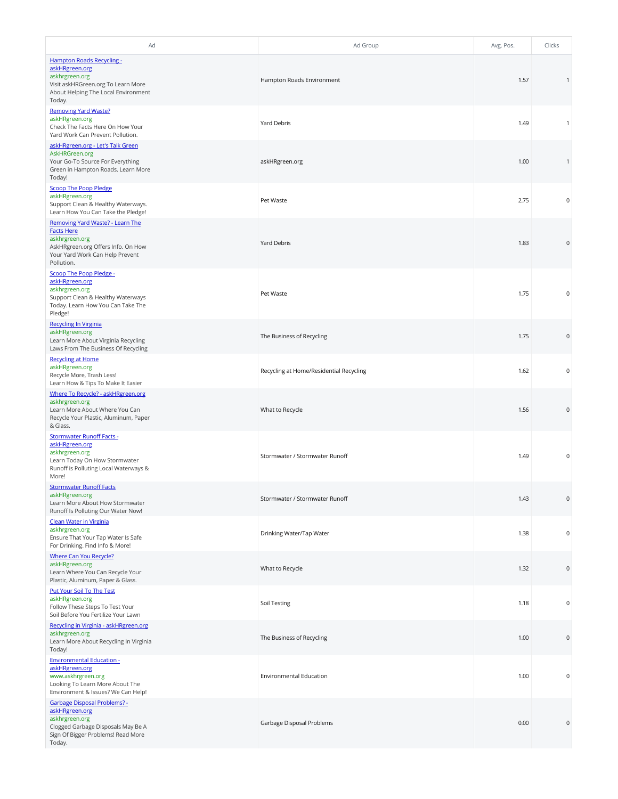| Ad                                                                                                                                                             | Ad Group                                | Avg. Pos. | Clicks              |
|----------------------------------------------------------------------------------------------------------------------------------------------------------------|-----------------------------------------|-----------|---------------------|
| <b>Hampton Roads Recycling -</b><br>askHRgreen.org<br>askhrgreen.org<br>Visit askHRGreen.org To Learn More<br>About Helping The Local Environment<br>Today.    | Hampton Roads Environment               | 1.57      | -1                  |
| <b>Removing Yard Waste?</b><br>askHRgreen.org<br>Check The Facts Here On How Your<br>Yard Work Can Prevent Pollution.                                          | Yard Debris                             | 1.49      | $\mathbf{1}$        |
| askHRgreen.org - Let's Talk Green<br>AskHRGreen.org<br>Your Go-To Source For Everything<br>Green in Hampton Roads. Learn More<br>Today!                        | askHRgreen.org                          | 1.00      | $\mathbf{1}$        |
| <b>Scoop The Poop Pledge</b><br>askHRgreen.org<br>Support Clean & Healthy Waterways.<br>Learn How You Can Take the Pledge!                                     | Pet Waste                               | 2.75      | $\mathbf 0$         |
| Removing Yard Waste? - Learn The<br><b>Facts Here</b><br>askhrgreen.org<br>AskHRgreen.org Offers Info. On How<br>Your Yard Work Can Help Prevent<br>Pollution. | Yard Debris                             | 1.83      | $\mathsf 0$         |
| Scoop The Poop Pledge -<br>askHRgreen.org<br>askhrgreen.org<br>Support Clean & Healthy Waterways<br>Today. Learn How You Can Take The<br>Pledge!               | Pet Waste                               | 1.75      | 0                   |
| <b>Recycling In Virginia</b><br>askHRgreen.org<br>Learn More About Virginia Recycling<br>Laws From The Business Of Recycling                                   | The Business of Recycling               | 1.75      | $\mathsf 0$         |
| <b>Recycling at Home</b><br>askHRgreen.org<br>Recycle More, Trash Less!<br>Learn How & Tips To Make It Easier                                                  | Recycling at Home/Residential Recycling | 1.62      | $\mathbf 0$         |
| Where To Recycle? - askHRgreen.org<br>askhrgreen.org<br>Learn More About Where You Can<br>Recycle Your Plastic, Aluminum, Paper<br>& Glass.                    | What to Recycle                         | 1.56      | $\mathsf 0$         |
| <b>Stormwater Runoff Facts -</b><br>askHRgreen.org<br>askhrgreen.org<br>Learn Today On How Stormwater<br>Runoff is Polluting Local Waterways &<br>More!        | Stormwater / Stormwater Runoff          | 1.49      | $\mathbf 0$         |
| <b>Stormwater Runoff Facts</b><br>askHRgreen.org<br>Learn More About How Stormwater<br>Runoff Is Polluting Our Water Now!                                      | Stormwater / Stormwater Runoff          | 1.43      | $\mathsf{O}\xspace$ |
| Clean Water in Virginia<br>askhrgreen.org<br>Ensure That Your Tap Water Is Safe<br>For Drinking. Find Info & More!                                             | Drinking Water/Tap Water                | 1.38      | $\mathbf 0$         |
| Where Can You Recycle?<br>askHRgreen.org<br>Learn Where You Can Recycle Your<br>Plastic, Aluminum, Paper & Glass.                                              | What to Recycle                         | 1.32      | $\mathsf{0}$        |
| Put Your Soil To The Test<br>askHRgreen.org<br>Follow These Steps To Test Your<br>Soil Before You Fertilize Your Lawn                                          | Soil Testing                            | 1.18      | $\mathbf 0$         |
| Recycling in Virginia - askHRgreen.org<br>askhrgreen.org<br>Learn More About Recycling In Virginia<br>Today!                                                   | The Business of Recycling               | 1.00      | $\mathsf 0$         |
| <b>Environmental Education -</b><br>askHRgreen.org<br>www.askhrgreen.org<br>Looking To Learn More About The<br>Environment & Issues? We Can Help!              | <b>Environmental Education</b>          | 1.00      | $\mathbf 0$         |
| <b>Garbage Disposal Problems? -</b><br>askHRgreen.org<br>askhrgreen.org<br>Clogged Garbage Disposals May Be A<br>Sign Of Bigger Problems! Read More<br>Today.  | Garbage Disposal Problems               | 0.00      | $\mathsf{0}$        |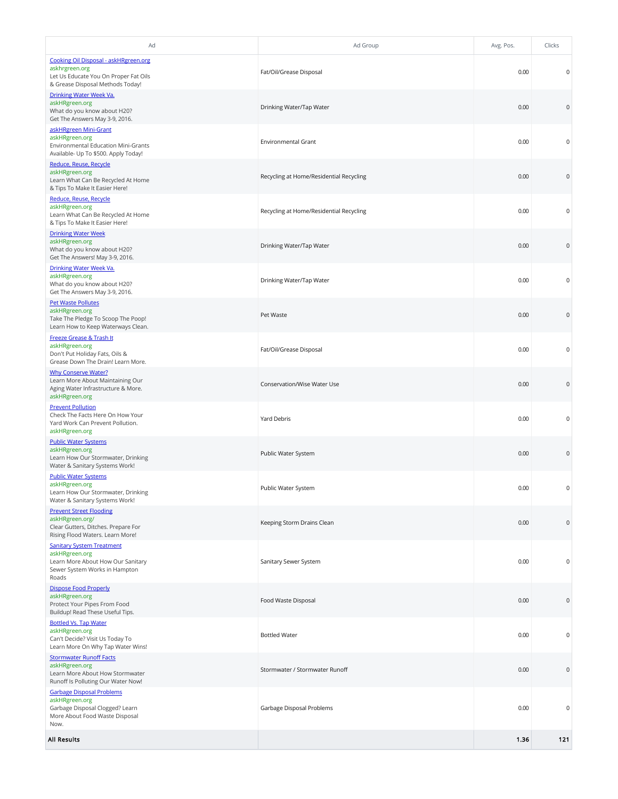| Ad                                                                                                                                   | Ad Group                                | Avg. Pos. | Clicks       |
|--------------------------------------------------------------------------------------------------------------------------------------|-----------------------------------------|-----------|--------------|
| Cooking Oil Disposal - askHRgreen.org<br>askhrgreen.org<br>Let Us Educate You On Proper Fat Oils<br>& Grease Disposal Methods Today! | Fat/Oil/Grease Disposal                 | 0.00      | 0            |
| Drinking Water Week Va.<br>askHRgreen.org<br>What do you know about H20?<br>Get The Answers May 3-9, 2016.                           | Drinking Water/Tap Water                | 0.00      | $\mathsf 0$  |
| askHRgreen Mini-Grant<br>askHRgreen.org<br>Environmental Education Mini-Grants<br>Available- Up To \$500. Apply Today!               | <b>Environmental Grant</b>              | 0.00      | $\mathbf 0$  |
| Reduce, Reuse, Recycle<br>askHRgreen.org<br>Learn What Can Be Recycled At Home<br>& Tips To Make It Easier Here!                     | Recycling at Home/Residential Recycling | 0.00      | $\mathsf 0$  |
| Reduce, Reuse, Recycle<br>askHRgreen.org<br>Learn What Can Be Recycled At Home<br>& Tips To Make It Easier Here!                     | Recycling at Home/Residential Recycling | 0.00      | $\mathbf 0$  |
| <b>Drinking Water Week</b><br>askHRgreen.org<br>What do you know about H20?<br>Get The Answers! May 3-9, 2016.                       | Drinking Water/Tap Water                | 0.00      | $\mathsf{0}$ |
| Drinking Water Week Va.<br>askHRgreen.org<br>What do you know about H20?<br>Get The Answers May 3-9, 2016.                           | Drinking Water/Tap Water                | 0.00      | $\mathbf 0$  |
| <b>Pet Waste Pollutes</b><br>askHRgreen.org<br>Take The Pledge To Scoop The Poop!<br>Learn How to Keep Waterways Clean.              | Pet Waste                               | 0.00      | $\mathsf{0}$ |
| <b>Freeze Grease &amp; Trash It</b><br>askHRgreen.org<br>Don't Put Holiday Fats, Oils &<br>Grease Down The Drain! Learn More.        | Fat/Oil/Grease Disposal                 | 0.00      | $\mathbf 0$  |
| <b>Why Conserve Water?</b><br>Learn More About Maintaining Our<br>Aging Water Infrastructure & More.<br>askHRgreen.org               | Conservation/Wise Water Use             | 0.00      | $\mathsf 0$  |
| <b>Prevent Pollution</b><br>Check The Facts Here On How Your<br>Yard Work Can Prevent Pollution.<br>askHRgreen.org                   | <b>Yard Debris</b>                      | 0.00      | $\mathbf 0$  |
| <b>Public Water Systems</b><br>askHRgreen.org<br>Learn How Our Stormwater, Drinking<br>Water & Sanitary Systems Work!                | Public Water System                     | 0.00      | $\mathsf{0}$ |
| <b>Public Water Systems</b><br>askHRgreen.org<br>Learn How Our Stormwater, Drinking<br>Water & Sanitary Systems Work!                | Public Water System                     | 0.00      | 0            |
| <b>Prevent Street Flooding</b><br>askHRgreen.org/<br>Clear Gutters, Ditches. Prepare For<br>Rising Flood Waters. Learn More!         | Keeping Storm Drains Clean              | 0.00      | $\mathsf 0$  |
| <b>Sanitary System Treatment</b><br>askHRgreen.org<br>Learn More About How Our Sanitary<br>Sewer System Works in Hampton<br>Roads    | Sanitary Sewer System                   | 0.00      | $\mathbf 0$  |
| <b>Dispose Food Properly</b><br>askHRgreen.org<br>Protect Your Pipes From Food<br>Buildup! Read These Useful Tips.                   | Food Waste Disposal                     | 0.00      | $\mathsf{0}$ |
| <b>Bottled Vs. Tap Water</b><br>askHRgreen.org<br>Can't Decide? Visit Us Today To<br>Learn More On Why Tap Water Wins!               | <b>Bottled Water</b>                    | 0.00      | $\mathbf 0$  |
| <b>Stormwater Runoff Facts</b><br>askHRgreen.org<br>Learn More About How Stormwater<br>Runoff Is Polluting Our Water Now!            | Stormwater / Stormwater Runoff          | 0.00      | $\mathsf{0}$ |
| <b>Garbage Disposal Problems</b><br>askHRgreen.org<br>Garbage Disposal Clogged? Learn<br>More About Food Waste Disposal<br>Now.      | Garbage Disposal Problems               | 0.00      | $\mathbf 0$  |
| All Results                                                                                                                          |                                         | 1.36      | 121          |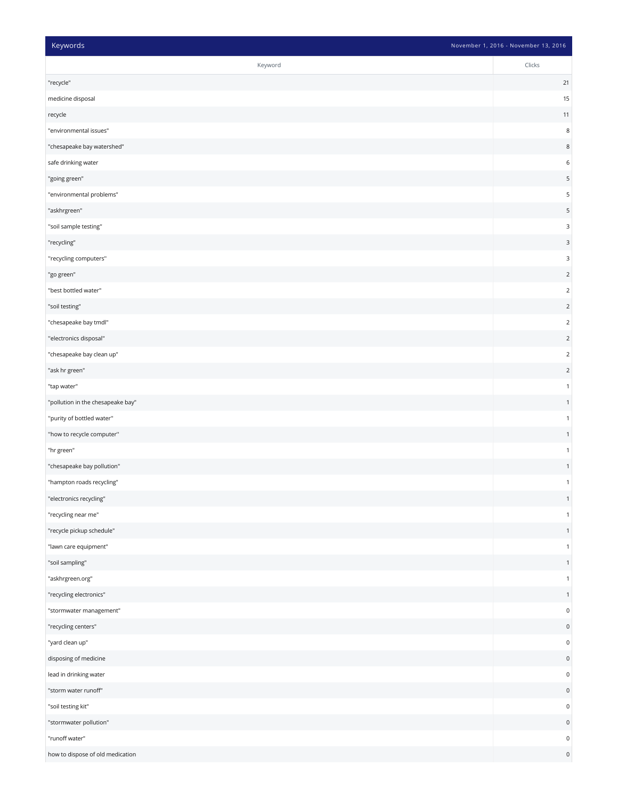| Keywords                          | November 1, 2016 - November 13, 2016 |
|-----------------------------------|--------------------------------------|
| Keyword                           | Clicks                               |
| "recycle"                         | $21$                                 |
| medicine disposal                 | 15                                   |
| recycle                           | 11                                   |
| "environmental issues"            | $\,$ 8 $\,$                          |
| "chesapeake bay watershed"        | $\,$ 8 $\,$                          |
| safe drinking water               | $\,$ 6 $\,$                          |
| "going green"                     | 5                                    |
| "environmental problems"          | 5                                    |
| "askhrgreen"                      | 5                                    |
| "soil sample testing"             | 3                                    |
| "recycling"                       | $\ensuremath{\mathsf{3}}$            |
| "recycling computers"             | 3                                    |
| "go green"                        | $\sqrt{2}$                           |
| "best bottled water"              | $\overline{c}$                       |
| "soil testing"                    | $\mathbf 2$                          |
| "chesapeake bay tmdl"             | $\overline{c}$                       |
| "electronics disposal"            | $\overline{2}$                       |
| "chesapeake bay clean up"         | $\overline{c}$                       |
| "ask hr green"                    | $\mathbf 2$                          |
| "tap water"                       | $\mathbf{1}$                         |
| "pollution in the chesapeake bay" | $\mathbf{1}$                         |
| "purity of bottled water"         | $\mathbf{1}$                         |
| "how to recycle computer"         | $\mathbf{1}$                         |
| "hr green"                        | $\mathbf{1}$                         |
| "chesapeake bay pollution"        | $\mathbf 1$                          |
| "hampton roads recycling"         | $\mathbf{1}$                         |
| "electronics recycling"           | $\mathbf{1}$                         |
| "recycling near me"               | $\mathbf{1}$                         |
| "recycle pickup schedule"         | $\mathbf{1}$                         |
| "lawn care equipment"             | -1                                   |
| "soil sampling"                   | $\mathbf{1}$                         |
| "askhrgreen.org"                  | 1                                    |
| "recycling electronics"           | $\mathbf{1}$                         |
| "stormwater management"           | $\mathsf 0$                          |
| "recycling centers"               | $\mathsf{O}\xspace$                  |
| "yard clean up"                   | $\mathbf 0$                          |
| disposing of medicine             | $\mathsf{O}\xspace$                  |
| lead in drinking water            | $\mathsf{O}\xspace$                  |
| "storm water runoff"              | $\mathsf{O}\xspace$                  |
| "soil testing kit"                | $\mathsf{O}\xspace$                  |
| "stormwater pollution"            | $\mathsf{O}\xspace$                  |
| "runoff water"                    | $\mathsf{O}\xspace$                  |
| how to dispose of old medication  | $\mathsf{O}\xspace$                  |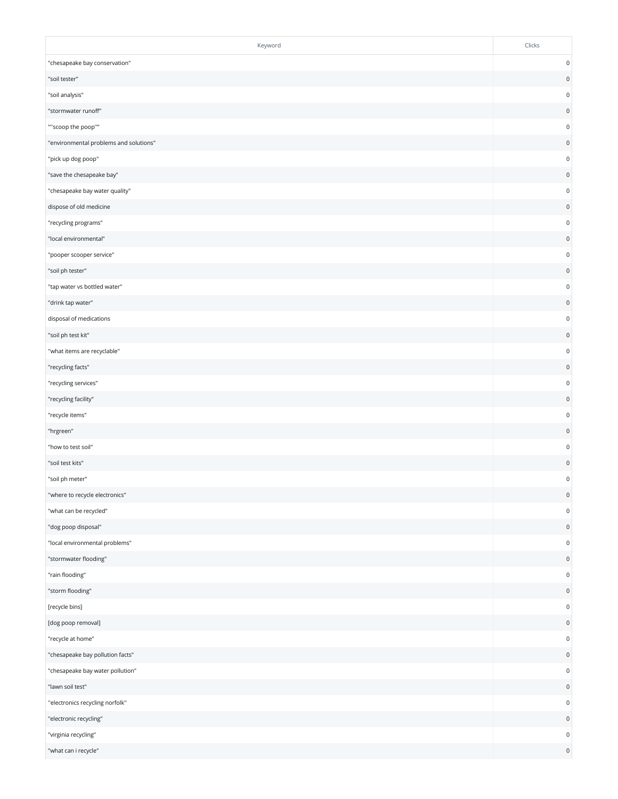| Keyword                                | Clicks              |
|----------------------------------------|---------------------|
| "chesapeake bay conservation"          | $\mathsf 0$         |
| "soil tester"                          | $\mathsf 0$         |
| "soil analysis"                        | 0                   |
| "stormwater runoff"                    | $\mathsf{O}\xspace$ |
| ""scoop the poop""                     | $\mathbf 0$         |
| "environmental problems and solutions" | $\mathsf{O}\xspace$ |
| "pick up dog poop"                     | $\mathbf 0$         |
| "save the chesapeake bay"              | $\mathsf{0}$        |
| "chesapeake bay water quality"         | $\mathbf 0$         |
| dispose of old medicine                | $\mathsf{0}$        |
| "recycling programs"                   | 0                   |
| "local environmental"                  | $\mathsf{0}$        |
| "pooper scooper service"               | $\mathbf 0$         |
| "soil ph tester"                       | $\mathsf{O}\xspace$ |
| "tap water vs bottled water"           | $\mathbf 0$         |
| "drink tap water"                      | $\mathsf{O}\xspace$ |
| disposal of medications                | $\mathbf 0$         |
| "soil ph test kit"                     | $\mathsf{O}\xspace$ |
| "what items are recyclable"            | $\mathbf 0$         |
| "recycling facts"                      | $\mathsf{O}\xspace$ |
| "recycling services"                   | 0                   |
| "recycling facility"                   | $\mathsf{O}\xspace$ |
| "recycle items"                        | $\mathsf 0$         |
| "hrgreen"                              | $\mathsf{O}\xspace$ |
| "how to test soil"                     | 0                   |
| "soil test kits"                       | $\mathsf{O}\xspace$ |
| "soil ph meter"                        | $\mathbf 0$         |
| "where to recycle electronics"         | $\pmb{0}$           |
| "what can be recycled"                 | $\mathbf 0$         |
| "dog poop disposal"                    | $\mathsf 0$         |
| "local environmental problems"         | $\mathbf 0$         |
| "stormwater flooding"                  | $\mathsf 0$         |
| "rain flooding"                        | $\mathsf 0$         |
| "storm flooding"                       | $\mathsf 0$         |
| [recycle bins]                         | $\mathbf 0$         |
| [dog poop removal]                     | $\mathsf 0$         |
| "recycle at home"                      | $\mathsf{O}\xspace$ |
| "chesapeake bay pollution facts"       | $\mathsf{O}\xspace$ |
| "chesapeake bay water pollution"       | $\mathsf{O}\xspace$ |
| "lawn soil test"                       | $\mathsf 0$         |
| "electronics recycling norfolk"        | $\mathbf 0$         |
| "electronic recycling"                 | $\mathsf 0$         |
| "virginia recycling"                   | $\mathsf 0$         |
| "what can i recycle"                   | $\pmb{0}$           |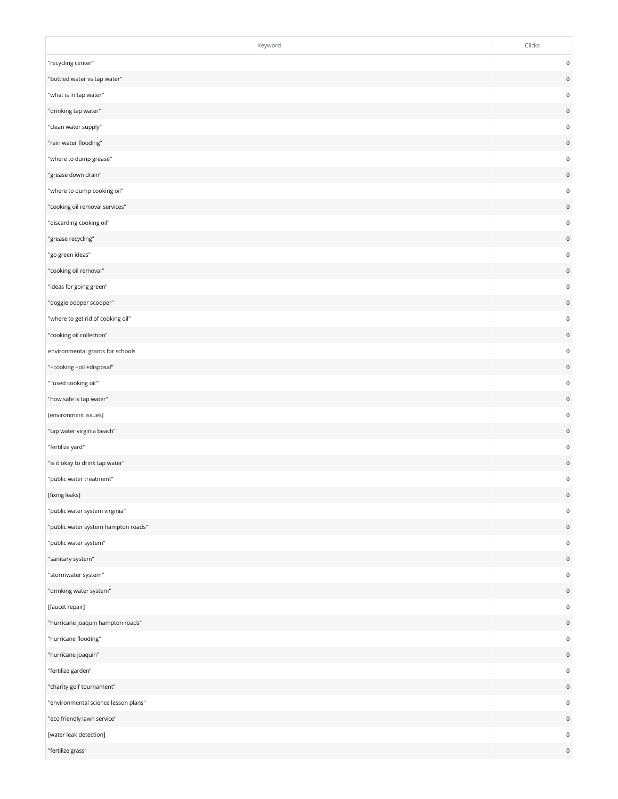| Keyword                              | Clicks              |
|--------------------------------------|---------------------|
| "recycling center"                   | $\mathbf 0$         |
| "bottled water vs tap water"         | $\mathbf 0$         |
| "what is in tap water"               | $\mathbf 0$         |
| "drinking tap water"                 | $\mathsf 0$         |
| "clean water supply"                 | $\mathbf 0$         |
| "rain water flooding"                | $\mathsf{0}$        |
| "where to dump grease"               | $\mathbf 0$         |
| "grease down drain"                  | $\mathsf{0}$        |
| "where to dump cooking oil"          | 0                   |
| "cooking oil removal services"       | $\mathsf{O}\xspace$ |
| "discarding cooking oil"             | $\mathsf 0$         |
| "grease recycling"                   | $\mathsf{0}$        |
| "go green ideas"                     | $\mathbf 0$         |
| "cooking oil removal"                | $\mathsf{0}$        |
| "ideas for going green"              | $\mathbf 0$         |
| "doggie pooper scooper"              | $\mathsf{O}\xspace$ |
| "where to get rid of cooking oil"    | $\mathbf 0$         |
| "cooking oil collection"             | $\mathsf{0}$        |
| environmental grants for schools     | 0                   |
| "+cooking +oil +disposal"            | $\mathsf{0}$        |
| ""used cooking oil""                 | $\mathbf 0$         |
| "how safe is tap water"              | $\mathsf{0}$        |
| [environment issues]                 | 0                   |
| "tap water virginia beach"           | $\mathsf{O}\xspace$ |
| "fertilize yard"                     | $\mathbf 0$         |
| "is it okay to drink tap water"      | $\mathbf 0$         |
| "public water treatment"             | $\pmb{0}$           |
| [fixing leaks]                       | 0                   |
| "public water system virginia"       | $\mathsf{O}\xspace$ |
| "public water system hampton roads"  | $\mathsf{O}\xspace$ |
| "public water system"                | $\mathsf 0$         |
| "sanitary system"                    | $\mathsf 0$         |
| "stormwater system"                  | $\mathbf 0$         |
| "drinking water system"              | $\mathsf 0$         |
| [faucet repair]                      | $\mathsf 0$         |
| "hurricane joaquin hampton roads"    | $\mathsf 0$         |
| "hurricane flooding"                 | 0                   |
| "hurricane joaquin"                  | $\mathsf{O}\xspace$ |
| "fertilize garden"                   | $\mathbf 0$         |
| "charity golf tournament"            | $\mathsf{O}\xspace$ |
| "environmental science lesson plans" | $\mathbf 0$         |
| "eco friendly lawn service"          | $\mathsf{O}\xspace$ |
| [water leak detection]               | $\mathsf 0$         |
| "fertilize grass"                    | $\mathsf 0$         |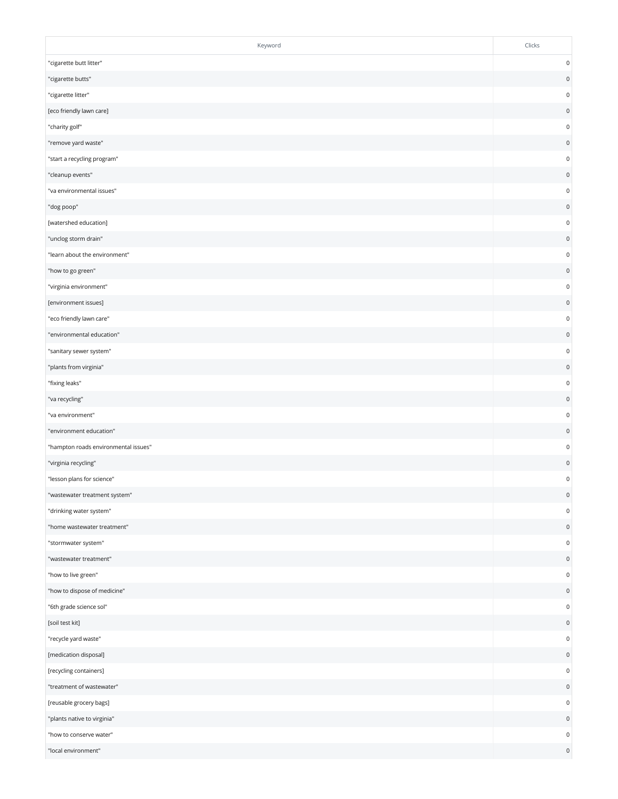| Keyword                              | Clicks              |
|--------------------------------------|---------------------|
| "cigarette butt litter"              | $\mathbf 0$         |
| "cigarette butts"                    | $\mathsf{0}$        |
| "cigarette litter"                   | 0                   |
| [eco friendly lawn care]             | $\mathsf{O}\xspace$ |
| "charity golf"                       | 0                   |
| "remove yard waste"                  | $\mathsf{O}\xspace$ |
| "start a recycling program"          | $\mathbf 0$         |
| "cleanup events"                     | $\mathsf{O}\xspace$ |
| "va environmental issues"            | 0                   |
| "dog poop"                           | $\mathsf{0}$        |
| [watershed education]                | 0                   |
| "unclog storm drain"                 | $\mathsf{O}\xspace$ |
| "learn about the environment"        | 0                   |
| "how to go green"                    | $\mathsf{0}$        |
| "virginia environment"               | 0                   |
| [environment issues]                 | $\mathsf{O}\xspace$ |
| "eco friendly lawn care"             | 0                   |
| "environmental education"            | 0                   |
| "sanitary sewer system"              | 0                   |
| "plants from virginia"               | $\mathsf{0}$        |
| "fixing leaks"                       | 0                   |
| "va recycling"                       | $\mathsf{O}\xspace$ |
| "va environment"                     | 0                   |
| "environment education"              | $\mathsf{0}$        |
| "hampton roads environmental issues" | 0                   |
| "virginia recycling"                 | $\mathsf{O}\xspace$ |
| "lesson plans for science"           | $\mathbf 0$         |
| "wastewater treatment system"        | $\mathsf{0}$        |
| "drinking water system"              | $\mathsf{O}\xspace$ |
| "home wastewater treatment"          | $\mathsf{O}\xspace$ |
| "stormwater system"                  | 0                   |
| "wastewater treatment"               | $\mathsf 0$         |
| "how to live green"                  | $\mathsf 0$         |
| "how to dispose of medicine"         | $\mathsf{O}\xspace$ |
| "6th grade science sol"              | $\mathsf{O}\xspace$ |
| [soil test kit]                      | $\mathsf{O}\xspace$ |
| "recycle yard waste"                 | $\mathbf 0$         |
| [medication disposal]                | $\mathsf{0}$        |
| [recycling containers]               | $\mathsf{O}\xspace$ |
| "treatment of wastewater"            | $\mathsf 0$         |
| [reusable grocery bags]              | 0                   |
| "plants native to virginia"          | $\mathsf 0$         |
| "how to conserve water"              | $\mathsf 0$         |
| "local environment"                  | $\mathsf 0$         |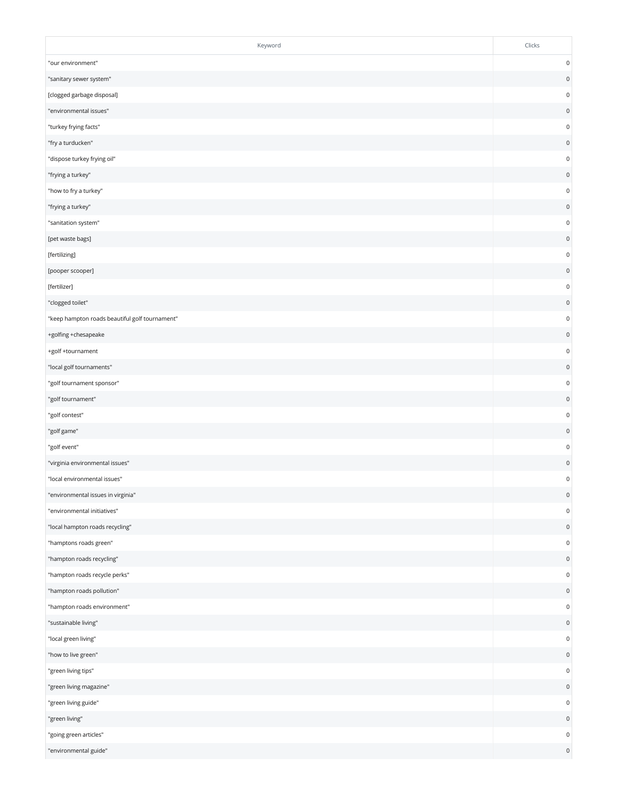| Keyword                                        | Clicks              |
|------------------------------------------------|---------------------|
| "our environment"                              | $\mathbf 0$         |
| "sanitary sewer system"                        | $\mathsf{0}$        |
| [clogged garbage disposal]                     | 0                   |
| "environmental issues"                         | $\mathsf{0}$        |
| "turkey frying facts"                          | 0                   |
| "fry a turducken"                              | $\mathsf{0}$        |
| "dispose turkey frying oil"                    | 0                   |
| "frying a turkey"                              | $\mathsf{O}\xspace$ |
| "how to fry a turkey"                          | 0                   |
| "frying a turkey"                              | 0                   |
| "sanitation system"                            | 0                   |
| [pet waste bags]                               | $\mathsf{0}$        |
| [fertilizing]                                  | 0                   |
| [pooper scooper]                               | 0                   |
| [fertilizer]                                   | 0                   |
| "clogged toilet"                               | $\mathsf{0}$        |
| "keep hampton roads beautiful golf tournament" | 0                   |
| +golfing +chesapeake                           | 0                   |
| +golf +tournament                              | $\mathbf 0$         |
| "local golf tournaments"                       | $\mathsf{0}$        |
| "golf tournament sponsor"                      | 0                   |
| "golf tournament"                              | $\mathbf 0$         |
| "golf contest"                                 | $\mathbf 0$         |
| "golf game"                                    | $\mathsf{0}$        |
| "golf event"                                   | 0                   |
| "virginia environmental issues"                | $\mathsf{0}$        |
| "local environmental issues"                   | $\mathbf 0$         |
| "environmental issues in virginia"             | $\mathsf 0$         |
| "environmental initiatives"                    | $\mathsf{O}\xspace$ |
| "local hampton roads recycling"                | $\mathsf 0$         |
| "hamptons roads green"                         | $\mathbf 0$         |
| "hampton roads recycling"                      | $\mathsf 0$         |
| "hampton roads recycle perks"                  | $\mathsf 0$         |
| "hampton roads pollution"                      | $\mathsf{0}$        |
| "hampton roads environment"                    | $\mathsf{O}\xspace$ |
| "sustainable living"                           | $\mathsf{0}$        |
| "local green living"                           | $\mathsf 0$         |
| "how to live green"                            | $\mathsf{O}\xspace$ |
| "green living tips"                            | $\mathsf 0$         |
| "green living magazine"                        | $\mathsf{0}$        |
| "green living guide"                           | $\mathsf{O}\xspace$ |
| "green living"                                 | $\mathsf{0}$        |
| "going green articles"                         | $\mathbf 0$         |
| "environmental guide"                          | $\mathsf{O}\xspace$ |